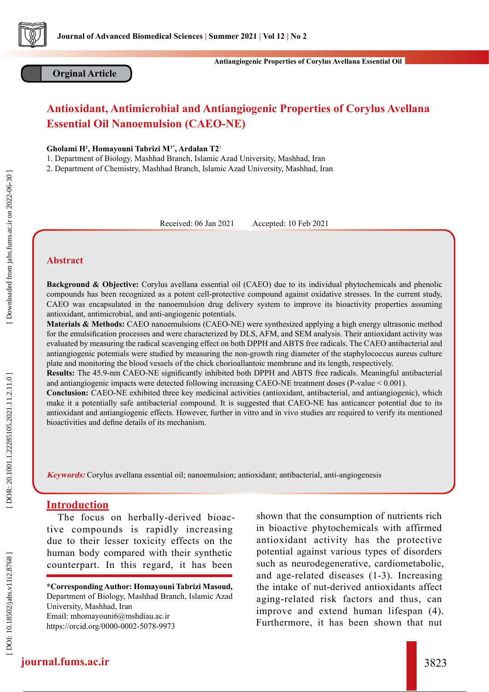

#### **Orginal Article**

# **Antioxidant, Antimicrobial and Antiangiogenic Properties of Corylus Avellana Essential Oil Nanoemulsion (CAEO-NE)**

**Gholami H 1 , Homayouni Tabrizi M1\*, Ardalan T2** 1

1. Department of Biology, Mashhad Branch, Islamic Azad University, Mashhad, Iran

2. Department of Chemistry, Mashhad Branch, Islamic Azad University, Mashhad, Iran

Received: 06 Jan 2021 Accepted: 10 Feb 2021

#### **Abstract**

**Background & Objective:** Corylus avellana essential oil (CAEO) due to its individual phytochemicals and phenolic compounds has been recognized as a potent cell-protective compound against oxidative stresses. In the current study, CAEO was encapsulated in the nanoemulsion drug delivery system to improve its bioactivity properties assuming antioxidant, antimicrobial, and anti-angiogenic potentials.

**Materials & Methods:** CAEO nanoemulsions (CAEO-NE) were synthesized applying a high energy ultrasonic method for the emulsification processes and were characterized by DLS, AFM, and SEM analysis. Their antioxidant activity was evaluated by measuring the radical scavenging effect on both DPPH and ABTS free radicals. The CAEO antibacterial and antiangiogenic potentials were studied by measuring the non-growth ring diameter of the staphylococcus aureus culture plate and monitoring the blood vessels of the chick chorioallantoic membrane and its length, respectively.

**Results:** The 45.9-nm CAEO-NE significantly inhibited both DPPH and ABTS free radicals. Meaningful antibacterial and antiangiogenic impacts were detected following increasing CAEO-NE treatment doses (P-value < 0.001).

**Conclusion:** CAEO-NE exhibited three key medicinal activities (antioxidant, antibacterial, and antiangiogenic), which make it a potentially safe antibacterial compound. It is suggested that CAEO-NE has anticancer potential due to its antioxidant and antiangiogenic effects. However, further in vitro and in vivo studies are required to verify its mentioned bioactivities and define details of its mechanism.

**Keywords:** Corylus avellana essential oil; nanoemulsion; antioxidant; antibacterial, anti-angiogenesis

### **Introduction**

The focus on herbally-derived bioac tive compounds is rapidly increasing due to their lesser toxicity effects on the human body compared with their synthetic counterpart. In this regard, it has been

**\*Corresponding Author: Homayouni Tabrizi Masoud,**  Department of Biology, Mashhad Branch, Islamic Azad University, Mashhad, Iran Email: mhomayouni6@mshdiau.ac.ir https://orcid.org/0000-0002-5078-997[3](https://orcid.org/0000-0002-2996-7464 )

shown that the consumption of nutrients rich in bioactive phytochemicals with affirmed antioxidant activity has the protective potential against various types of disorders such as neurodegenerative, cardiometabolic, and age-related diseases (1-3). Increasing the intake of nut-derived antioxidants affect aging-related risk factors and thus, can improve and extend human lifespan (4). Furthermore, it has been shown that nut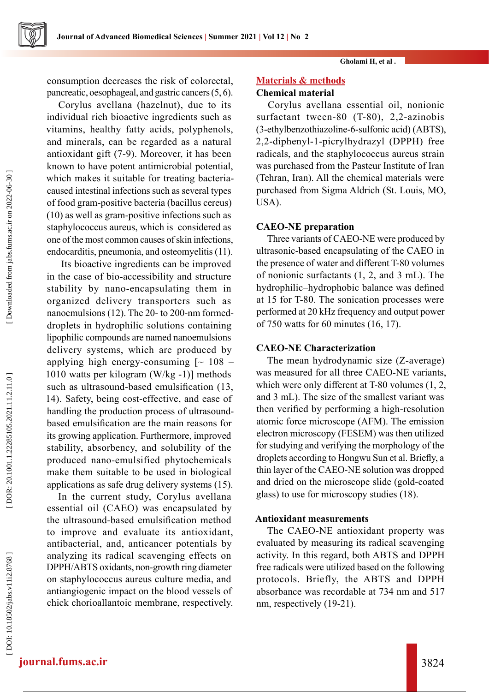**Gholami H, et al .**

consumption decreases the risk of colorectal, pancreatic, oesophageal, and gastric cancers (5, 6).

Corylus avellana (hazelnut), due to its individual rich bioactive ingredients such as vitamins, healthy fatty acids, polyphenols, and minerals, can be regarded as a natural antioxidant gift (7-9). Moreover, it has been known to have potent antimicrobial potential, which makes it suitable for treating bacteriacaused intestinal infections such as several types of food gram-positive bacteria (bacillus cereus) (10) as well as gram-positive infections such as staphylococcus aureus, which is considered as one of the most common causes of skin infections, endocarditis, pneumonia, and osteomyelitis (11).

 Its bioactive ingredients can be improved in the case of bio-accessibility and structure stability by nano-encapsulating them in organized delivery transporters such as nanoemulsions (12). The 20- to 200-nm formeddroplets in hydrophilic solutions containing lipophilic compounds are named nanoemulsions delivery systems, which are produced by applying high energy-consuming  $\sim 108$  – 1010 watts per kilogram (W/kg -1)] methods such as ultrasound-based emulsification (13, 14). Safety, being cost-effective, and ease of handling the production process of ultrasoundbased emulsification are the main reasons for its growing application. Furthermore, improved stability, absorbency, and solubility of the produced nano-emulsified phytochemicals make them suitable to be used in biological applications as safe drug delivery systems (15).

In the current study, Corylus avellana essential oil (CAEO) was encapsulated by the ultrasound-based emulsification method to improve and evaluate its antioxidant, antibacterial, and, anticancer potentials by analyzing its radical scavenging effects on DPPH/ABTS oxidants, non-growth ring diameter on staphylococcus aureus culture media, and antiangiogenic impact on the blood vessels of chick chorioallantoic membrane, respectively.

### **Materials & methods**

## **Chemical material**

Corylus avellana essential oil, nonionic surfactant tween-80 (T-80), 2,2-azinobis (3-ethylbenzothiazoline-6-sulfonic acid) (ABTS), 2,2-diphenyl-1-picrylhydrazyl (DPPH) free radicals, and the staphylococcus aureus strain was purchased from the Pasteur Institute of Iran (Tehran, Iran). All the chemical materials were purchased from Sigma Aldrich (St. Louis, MO, USA).

### **CAEO-NE preparation**

Three variants of CAEO-NE were produced by ultrasonic-based encapsulating of the CAEO in the presence of water and different T-80 volumes of nonionic surfactants (1, 2, and 3 mL). The hydrophilic–hydrophobic balance was defined at 15 for T-80. The sonication processes were performed at 20 kHz frequency and output power of 750 watts for 60 minutes (16, 17).

### **CAEO-NE Characterization**

The mean hydrodynamic size (Z-average) was measured for all three CAEO-NE variants, which were only different at T-80 volumes  $(1, 2, 1)$ and 3 mL). The size of the smallest variant was then verified by performing a high-resolution atomic force microscope (AFM). The emission electron microscopy (FESEM) was then utilized for studying and verifying the morphology of the droplets according to Hongwu Sun et al. Briefly, a thin layer of the CAEO-NE solution was dropped and dried on the microscope slide (gold-coated glass) to use for microscopy studies (18).

#### **Antioxidant measurements**

The CAEO-NE antioxidant property was evaluated by measuring its radical scavenging activity. In this regard, both ABTS and DPPH free radicals were utilized based on the following protocols. Briefly, the ABTS and DPPH absorbance was recordable at 734 nm and 517 nm, respectively (19-21).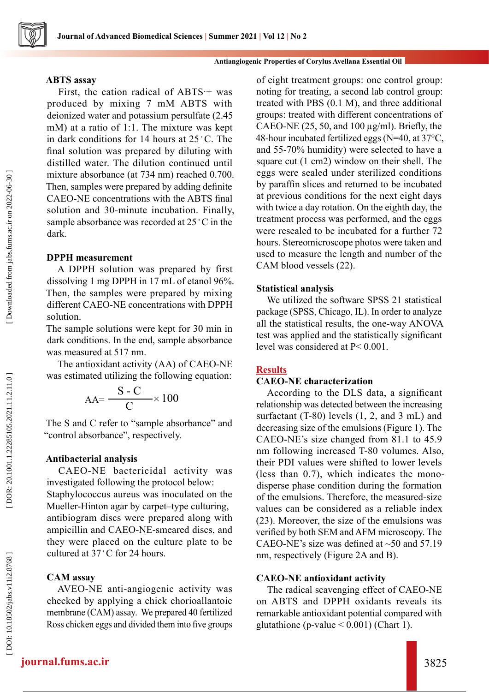## **ABTS assay**

First, the cation radical of ABTS·+ was produced by mixing 7 mM ABTS with deionized water and potassium persulfate (2.45 mM) at a ratio of 1:1. The mixture was kept in dark conditions for 14 hours at 25 ◦C. The final solution was prepared by diluting with distilled water. The dilution continued until mixture absorbance (at 734 nm) reached 0.700. Then, samples were prepared by adding definite CAEO-NE concentrations with the ABTS final solution and 30-minute incubation. Finally, sample absorbance was recorded at 25 °C in the dark.

## **DPPH measurement**

A DPPH solution was prepared by first dissolving 1 mg DPPH in 17 mL of etanol 96%. Then, the samples were prepared by mixing different CAEO-NE concentrations with DPPH solution.

The sample solutions were kept for 30 min in dark conditions. In the end, sample absorbance was measured at 517 nm.

The antioxidant activity (AA) of CAEO-NE was estimated utilizing the following equation:

$$
AA = \frac{S - C}{C} \times 100
$$

The S and C refer to "sample absorbance" and "control absorbance", respectively.

## **Antibacterial analysis**

CAEO-NE bactericidal activity was investigated following the protocol below: Staphylococcus aureus was inoculated on the Mueller-Hinton agar by carpet–type culturing, antibiogram discs were prepared along with ampicillin and CAEO-NE-smeared discs, and they were placed on the culture plate to be cultured at 37 ◦C for 24 hours.

## **CAM assay**

AVEO-NE anti-angiogenic activity was checked by applying a chick chorioallantoic membrane (CAM) assay. We prepared 40 fertilized Ross chicken eggs and divided them into five groups

of eight treatment groups: one control group: noting for treating, a second lab control group: treated with PBS (0.1 M), and three additional groups: treated with different concentrations of CAEO-NE  $(25, 50, \text{ and } 100 \,\mu\text{g/ml})$ . Briefly, the 48-hour incubated fertilized eggs (N=40, at 37°C, and 55-70% humidity) were selected to have a square cut (1 cm2) window on their shell. The eggs were sealed under sterilized conditions by paraffin slices and returned to be incubated at previous conditions for the next eight days with twice a day rotation. On the eighth day, the treatment process was performed, and the eggs were resealed to be incubated for a further 72 hours. Stereomicroscope photos were taken and used to measure the length and number of the CAM blood vessels (22).

## **Statistical analysis**

We utilized the software SPSS 21 statistical package (SPSS, Chicago, IL). In order to analyze all the statistical results, the one-way ANOVA test was applied and the statistically significant level was considered at P< 0.001.

## **Results**

## **CAEO-NE characterization**

According to the DLS data, a significant relationship was detected between the increasing surfactant (T-80) levels (1, 2, and 3 mL) and decreasing size of the emulsions (Figure 1). The CAEO-NE's size changed from 81.1 to 45.9 nm following increased T-80 volumes. Also, their PDI values were shifted to lower levels (less than 0.7), which indicates the monodisperse phase condition during the formation of the emulsions. Therefore, the measured-size values can be considered as a reliable index (23). Moreover, the size of the emulsions was verified by both SEM and AFM microscopy. The CAEO-NE's size was defined at  $\sim$  50 and 57.19 nm, respectively (Figure 2A and B).

## **CAEO-NE antioxidant activity**

The radical scavenging effect of CAEO-NE on ABTS and DPPH oxidants reveals its remarkable antioxidant potential compared with glutathione (p-value  $\leq 0.001$ ) (Chart 1).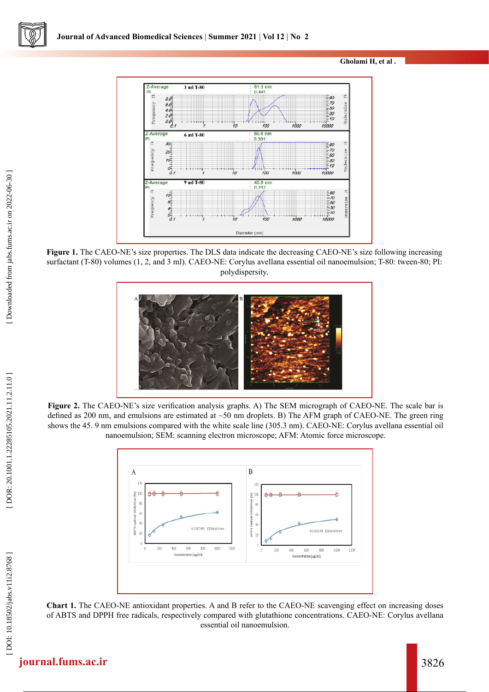**Gholami H, et al .**



**Figure 1.** The CAEO-NE's size properties. The DLS data indicate the decreasing CAEO-NE's size following increasing surfactant (T-80) volumes (1, 2, and 3 ml). CAEO-NE: Corylus avellana essential oil nanoemulsion; T-80: tween-80; PI: polydispersity.



**Figure 2.** The CAEO-NE's size verification analysis graphs. A) The SEM micrograph of CAEO-NE. The scale bar is defined as 200 nm, and emulsions are estimated at ~50 nm droplets. B) The AFM graph of CAEO-NE. The green ring shows the 45. 9 nm emulsions compared with the white scale line (305.3 nm). CAEO-NE: Corylus avellana essential oil nanoemulsion; SEM: scanning electron microscope; AFM: Atomic force microscope.



**Chart 1.** The CAEO-NE antioxidant properties. A and B refer to the CAEO-NE scavenging effect on increasing doses of ABTS and DPPH free radicals, respectively compared with glutathione concentrations. CAEO-NE: Corylus avellana essential oil nanoemulsion.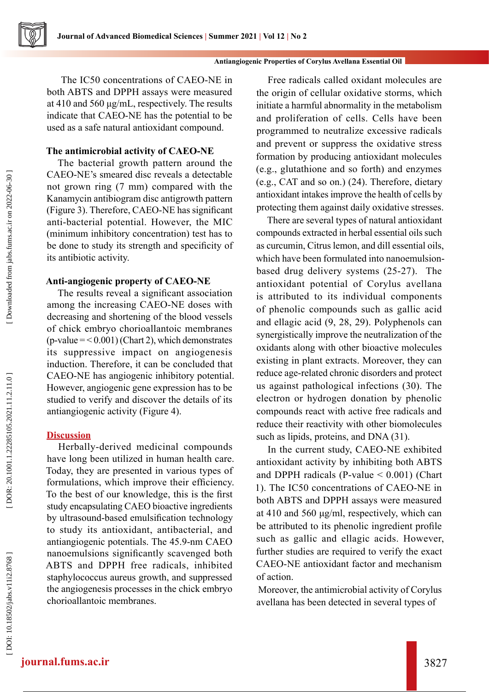The IC50 concentrations of CAEO-NE in both ABTS and DPPH assays were measured at 410 and 560 μg/mL, respectively. The results indicate that CAEO-NE has the potential to be used as a safe natural antioxidant compound.

### **The antimicrobial activity of CAEO-NE**

The bacterial growth pattern around the CAEO-NE's smeared disc reveals a detectable not grown ring (7 mm) compared with the Kanamycin antibiogram disc antigrowth pattern (Figure 3). Therefore, CAEO-NE has significant anti-bacterial potential. However, the MIC (minimum inhibitory concentration) test has to be done to study its strength and specificity of its antibiotic activity.

### **Anti-angiogenic property of CAEO-NE**

The results reveal a significant association among the increasing CAEO-NE doses with decreasing and shortening of the blood vessels of chick embryo chorioallantoic membranes  $(p-value =  $(0.001)$  (chart 2), which demonstrates$ its suppressive impact on angiogenesis induction. Therefore, it can be concluded that CAEO-NE has angiogenic inhibitory potential. However, angiogenic gene expression has to be studied to verify and discover the details of its antiangiogenic activity (Figure 4).

## **Discussion**

Herbally-derived medicinal compounds have long been utilized in human health care. Today, they are presented in various types of formulations, which improve their efficiency. To the best of our knowledge, this is the first study encapsulating CAEO bioactive ingredients by ultrasound-based emulsification technology to study its antioxidant, antibacterial, and antiangiogenic potentials. The 45.9-nm CAEO nanoemulsions significantly scavenged both ABTS and DPPH free radicals, inhibited staphylococcus aureus growth, and suppressed the angiogenesis processes in the chick embryo chorioallantoic membranes.

Free radicals called oxidant molecules are the origin of cellular oxidative storms, which initiate a harmful abnormality in the metabolism and proliferation of cells. Cells have been programmed to neutralize excessive radicals and prevent or suppress the oxidative stress formation by producing antioxidant molecules (e.g., glutathione and so forth) and enzymes (e.g., CAT and so on.) (24). Therefore, dietary antioxidant intakes improve the health of cells by protecting them against daily oxidative stresses.

There are several types of natural antioxidant compounds extracted in herbal essential oils such as curcumin, Citrus lemon, and dill essential oils, which have been formulated into nanoemulsionbased drug delivery systems (25-27). The antioxidant potential of Corylus avellana is attributed to its individual components of phenolic compounds such as gallic acid and ellagic acid (9, 28, 29). Polyphenols can synergistically improve the neutralization of the oxidants along with other bioactive molecules existing in plant extracts. Moreover, they can reduce age-related chronic disorders and protect us against pathological infections (30). The electron or hydrogen donation by phenolic compounds react with active free radicals and reduce their reactivity with other biomolecules such as lipids, proteins, and DNA  $(31)$ .

In the current study, CAEO-NE exhibited antioxidant activity by inhibiting both ABTS and DPPH radicals (P-value  $< 0.001$ ) (Chart 1). The IC50 concentrations of CAEO-NE in both ABTS and DPPH assays were measured at 410 and 560 μg/ml, respectively, which can be attributed to its phenolic ingredient profile such as gallic and ellagic acids. However, further studies are required to verify the exact CAEO-NE antioxidant factor and mechanism of action.

 Moreover, the antimicrobial activity of Corylus avellana has been detected in several types of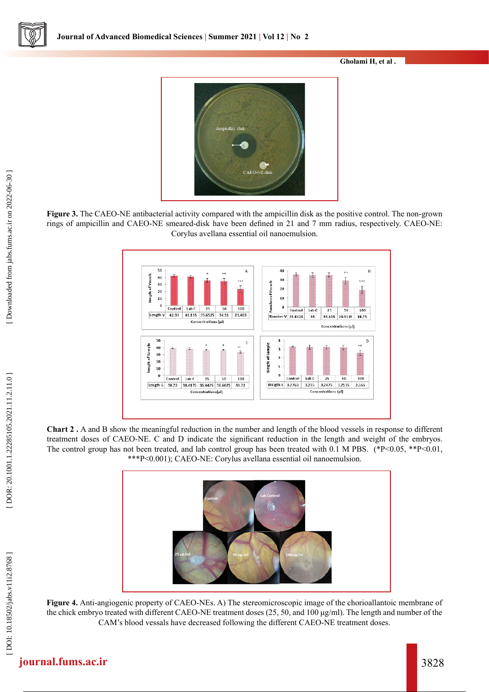**Gholami H, et al .**



**Figure 3.** The CAEO-NE antibacterial activity compared with the ampicillin disk as the positive control. The non-grown rings of ampicillin and CAEO-NE smeared-disk have been defined in 21 and 7 mm radius, respectively. CAEO-NE: Corylus avellana essential oil nanoemulsion.



**Chart 2 .** A and B show the meaningful reduction in the number and length of the blood vessels in response to different treatment doses of CAEO-NE. C and D indicate the significant reduction in the length and weight of the embryos. The control group has not been treated, and lab control group has been treated with 0.1 M PBS. (\*P<0.05, \*\*P<0.01, \*\*\*P<0.001); CAEO-NE: Corylus avellana essential oil nanoemulsion.



**Figure 4.** Anti-angiogenic property of CAEO-NEs. A) The stereomicroscopic image of the chorioallantoic membrane of the chick embryo treated with different CAEO-NE treatment doses (25, 50, and 100 μg/ml). The length and number of the CAM's blood vessals have decreased following the different CAEO-NE treatment doses.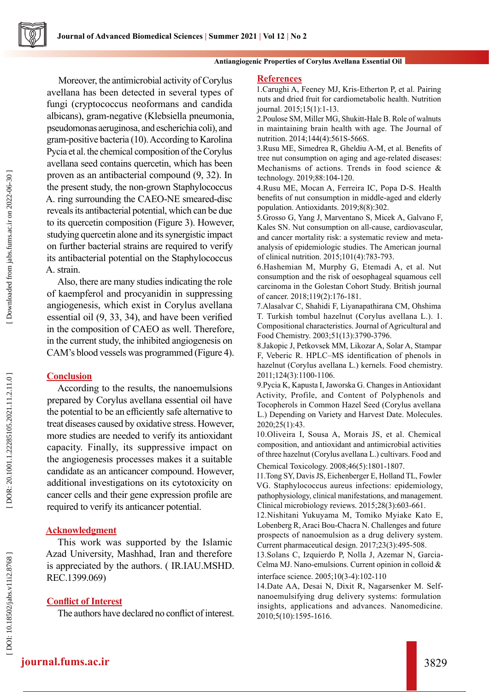#### **Antiangiogenic Properties of Corylus Avellana Essential Oil**

Moreover, the antimicrobial activity of Corylus avellana has been detected in several types of fungi (cryptococcus neoformans and candida albicans), gram-negative (Klebsiella pneumonia, pseudomonas aeruginosa, and escherichia coli), and gram-positive bacteria (10). According to Karolina Pycia et al. the chemical composition of the Corylus avellana seed contains quercetin, which has been proven as an antibacterial compound (9, 32). In the present study, the non-grown Staphylococcus A. ring surrounding the CAEO-NE smeared-disc reveals its antibacterial potential, which can be due to its quercetin composition (Figure 3). However, studying quercetin alone and its synergistic impact on further bacterial strains are required to verify its antibacterial potential on the Staphylococcus A. strain.

Also, there are many studies indicating the role of kaempferol and procyanidin in suppressing angiogenesis, which exist in Corylus avellana essential oil (9, 33, 34), and have been verified in the composition of CAEO as well. Therefore, in the current study, the inhibited angiogenesis on CAM's blood vessels was programmed (Figure 4).

## **Conclusion**

According to the results, the nanoemulsions prepared by Corylus avellana essential oil have the potential to be an efficiently safe alternative to treat diseases caused by oxidative stress. However, more studies are needed to verify its antioxidant capacity. Finally, its suppressive impact on the angiogenesis processes makes it a suitable candidate as an anticancer compound. However, additional investigations on its cytotoxicity on cancer cells and their gene expression profile are required to verify its anticancer potential.

## **Acknowledgment**

This work was supported by the Islamic Azad University, Mashhad, Iran and therefore is appreciated by the authors. ( IR.IAU.MSHD. REC.1399.069)

## **Conflict of Interest**

The authors have declared no conflict of interest.

#### **References**

1.Carughi A, Feeney MJ, Kris-Etherton P, et al. Pairing nuts and dried fruit for cardiometabolic health. Nutrition journal. 2015;15(1):1-13.

2.Poulose SM, Miller MG, Shukitt-Hale B. Role of walnuts in maintaining brain health with age. The Journal of nutrition. 2014;144(4):561S-566S.

3.Rusu ME, Simedrea R, Gheldiu A-M, et al. Benefits of tree nut consumption on aging and age-related diseases: Mechanisms of actions. Trends in food science & technology. 2019;88:104-120.

4.Rusu ME, Mocan A, Ferreira IC, Popa D-S. Health benefits of nut consumption in middle-aged and elderly population. Antioxidants. 2019;8(8):302.

5.Grosso G, Yang J, Marventano S, Micek A, Galvano F, Kales SN. Nut consumption on all-cause, cardiovascular, and cancer mortality risk: a systematic review and metaanalysis of epidemiologic studies. The American journal of clinical nutrition. 2015;101(4):783-793.

6.Hashemian M, Murphy G, Etemadi A, et al. Nut consumption and the risk of oesophageal squamous cell carcinoma in the Golestan Cohort Study. British journal of cancer. 2018;119(2):176-181.

7.Alasalvar C, Shahidi F, Liyanapathirana CM, Ohshima T. Turkish tombul hazelnut (Corylus avellana L.). 1. Compositional characteristics. Journal of Agricultural and Food Chemistry. 2003;51(13):3790-3796.

8.Jakopic J, Petkovsek MM, Likozar A, Solar A, Stampar F, Veberic R. HPLC–MS identification of phenols in hazelnut (Corylus avellana L.) kernels. Food chemistry. 2011;124(3):1100-1106.

9.Pycia K, Kapusta I, Jaworska G. Changes in Antioxidant Activity, Profile, and Content of Polyphenols and Tocopherols in Common Hazel Seed (Corylus avellana L.) Depending on Variety and Harvest Date. Molecules. 2020;25(1):43.

10.Oliveira I, Sousa A, Morais JS, et al. Chemical composition, and antioxidant and antimicrobial activities of three hazelnut (Corylus avellana L.) cultivars. Food and Chemical Toxicology. 2008;46(5):1801-1807.

11.Tong SY, Davis JS, Eichenberger E, Holland TL, Fowler VG. Staphylococcus aureus infections: epidemiology, pathophysiology, clinical manifestations, and management. Clinical microbiology reviews. 2015;28(3):603-661.

12.Nishitani Yukuyama M, Tomiko Myiake Kato E, Lobenberg R, Araci Bou-Chacra N. Challenges and future prospects of nanoemulsion as a drug delivery system. Current pharmaceutical design. 2017;23(3):495-508.

13.Solans C, Izquierdo P, Nolla J, Azemar N, Garcia-Celma MJ. Nano-emulsions. Current opinion in colloid & interface science. 2005;10(3-4):102-110

14.Date AA, Desai N, Dixit R, Nagarsenker M. Selfnanoemulsifying drug delivery systems: formulation insights, applications and advances. Nanomedicine. 2010;5(10):1595-1616.